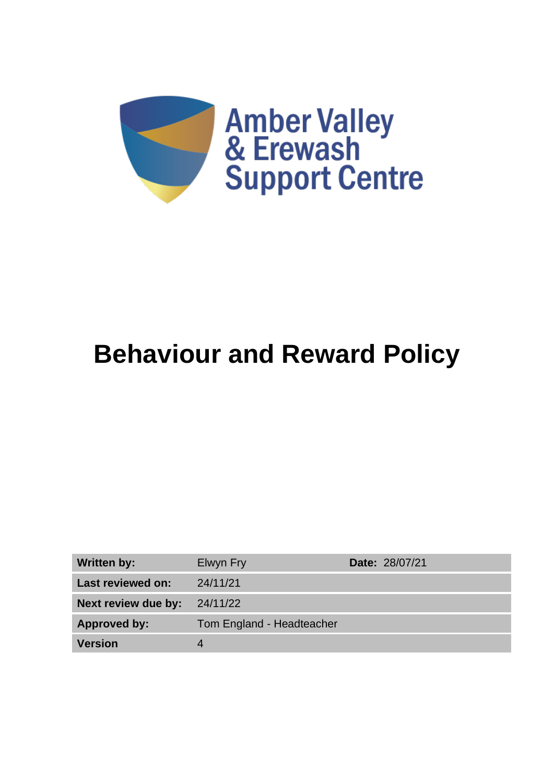

# **Behaviour and Reward Policy**

| <b>Written by:</b>  | Elwyn Fry                 | <b>Date: 28/07/21</b> |
|---------------------|---------------------------|-----------------------|
| Last reviewed on:   | 24/11/21                  |                       |
| Next review due by: | 24/11/22                  |                       |
| <b>Approved by:</b> | Tom England - Headteacher |                       |
| <b>Version</b>      |                           |                       |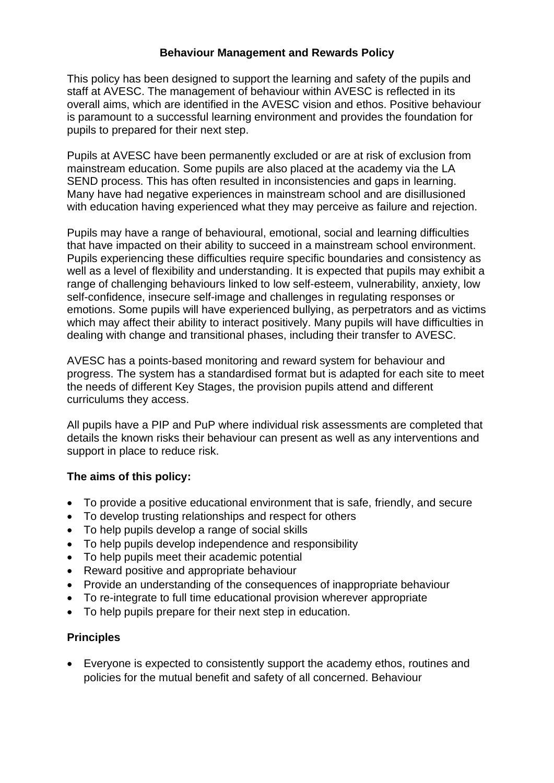#### **Behaviour Management and Rewards Policy**

This policy has been designed to support the learning and safety of the pupils and staff at AVESC. The management of behaviour within AVESC is reflected in its overall aims, which are identified in the AVESC vision and ethos. Positive behaviour is paramount to a successful learning environment and provides the foundation for pupils to prepared for their next step.

Pupils at AVESC have been permanently excluded or are at risk of exclusion from mainstream education. Some pupils are also placed at the academy via the LA SEND process. This has often resulted in inconsistencies and gaps in learning. Many have had negative experiences in mainstream school and are disillusioned with education having experienced what they may perceive as failure and rejection.

Pupils may have a range of behavioural, emotional, social and learning difficulties that have impacted on their ability to succeed in a mainstream school environment. Pupils experiencing these difficulties require specific boundaries and consistency as well as a level of flexibility and understanding. It is expected that pupils may exhibit a range of challenging behaviours linked to low self-esteem, vulnerability, anxiety, low self-confidence, insecure self-image and challenges in regulating responses or emotions. Some pupils will have experienced bullying, as perpetrators and as victims which may affect their ability to interact positively. Many pupils will have difficulties in dealing with change and transitional phases, including their transfer to AVESC.

AVESC has a points-based monitoring and reward system for behaviour and progress. The system has a standardised format but is adapted for each site to meet the needs of different Key Stages, the provision pupils attend and different curriculums they access.

All pupils have a PIP and PuP where individual risk assessments are completed that details the known risks their behaviour can present as well as any interventions and support in place to reduce risk.

## **The aims of this policy:**

- To provide a positive educational environment that is safe, friendly, and secure
- To develop trusting relationships and respect for others
- To help pupils develop a range of social skills
- To help pupils develop independence and responsibility
- To help pupils meet their academic potential
- Reward positive and appropriate behaviour
- Provide an understanding of the consequences of inappropriate behaviour
- To re-integrate to full time educational provision wherever appropriate
- To help pupils prepare for their next step in education.

#### **Principles**

• Everyone is expected to consistently support the academy ethos, routines and policies for the mutual benefit and safety of all concerned. Behaviour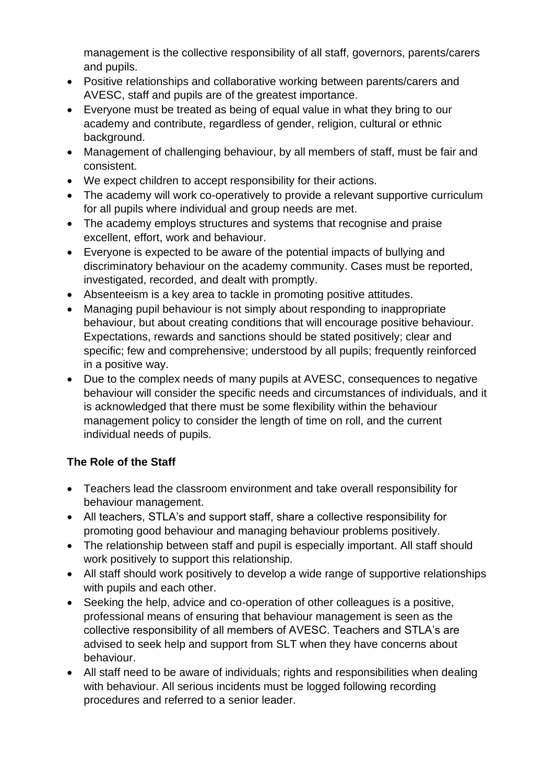management is the collective responsibility of all staff, governors, parents/carers and pupils.

- Positive relationships and collaborative working between parents/carers and AVESC, staff and pupils are of the greatest importance.
- Everyone must be treated as being of equal value in what they bring to our academy and contribute, regardless of gender, religion, cultural or ethnic background.
- Management of challenging behaviour, by all members of staff, must be fair and consistent.
- We expect children to accept responsibility for their actions.
- The academy will work co-operatively to provide a relevant supportive curriculum for all pupils where individual and group needs are met.
- The academy employs structures and systems that recognise and praise excellent, effort, work and behaviour.
- Everyone is expected to be aware of the potential impacts of bullying and discriminatory behaviour on the academy community. Cases must be reported, investigated, recorded, and dealt with promptly.
- Absenteeism is a key area to tackle in promoting positive attitudes.
- Managing pupil behaviour is not simply about responding to inappropriate behaviour, but about creating conditions that will encourage positive behaviour. Expectations, rewards and sanctions should be stated positively; clear and specific; few and comprehensive; understood by all pupils; frequently reinforced in a positive way.
- Due to the complex needs of many pupils at AVESC, consequences to negative behaviour will consider the specific needs and circumstances of individuals, and it is acknowledged that there must be some flexibility within the behaviour management policy to consider the length of time on roll, and the current individual needs of pupils.

## **The Role of the Staff**

- Teachers lead the classroom environment and take overall responsibility for behaviour management.
- All teachers, STLA's and support staff, share a collective responsibility for promoting good behaviour and managing behaviour problems positively.
- The relationship between staff and pupil is especially important. All staff should work positively to support this relationship.
- All staff should work positively to develop a wide range of supportive relationships with pupils and each other.
- Seeking the help, advice and co-operation of other colleagues is a positive, professional means of ensuring that behaviour management is seen as the collective responsibility of all members of AVESC. Teachers and STLA's are advised to seek help and support from SLT when they have concerns about behaviour.
- All staff need to be aware of individuals; rights and responsibilities when dealing with behaviour. All serious incidents must be logged following recording procedures and referred to a senior leader.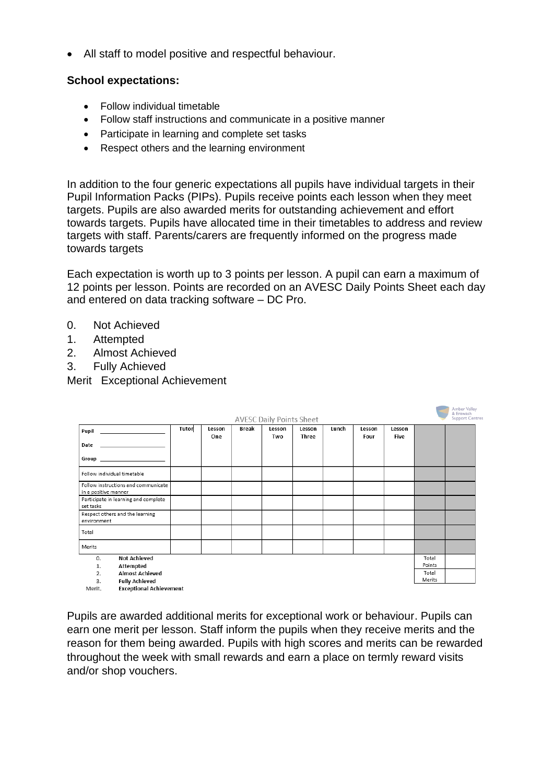• All staff to model positive and respectful behaviour.

#### **School expectations:**

- Follow individual timetable
- Follow staff instructions and communicate in a positive manner
- Participate in learning and complete set tasks
- Respect others and the learning environment

In addition to the four generic expectations all pupils have individual targets in their Pupil Information Packs (PIPs). Pupils receive points each lesson when they meet targets. Pupils are also awarded merits for outstanding achievement and effort towards targets. Pupils have allocated time in their timetables to address and review targets with staff. Parents/carers are frequently informed on the progress made towards targets

Each expectation is worth up to 3 points per lesson. A pupil can earn a maximum of 12 points per lesson. Points are recorded on an AVESC Daily Points Sheet each day and entered on data tracking software – DC Pro.

- 0. Not Achieved
- 1. Attempted
- 2. Almost Achieved
- 3. Fully Achieved

Merit Exceptional Achievement

|                                                             |       |               |              | <b>AVESC Daily Points Sheet</b> |                 |       |                |                       |                 | Amber Valley<br>& Erewash<br>Support Centre: |
|-------------------------------------------------------------|-------|---------------|--------------|---------------------------------|-----------------|-------|----------------|-----------------------|-----------------|----------------------------------------------|
| Pupil                                                       | Tutor | Lesson<br>One | <b>Break</b> | Lesson<br>Two                   | Lesson<br>Three | Lunch | Lesson<br>Four | Lesson<br><b>Five</b> |                 |                                              |
| Date                                                        |       |               |              |                                 |                 |       |                |                       |                 |                                              |
|                                                             |       |               |              |                                 |                 |       |                |                       |                 |                                              |
| Follow individual timetable                                 |       |               |              |                                 |                 |       |                |                       |                 |                                              |
| Follow instructions and communicate<br>in a positive manner |       |               |              |                                 |                 |       |                |                       |                 |                                              |
| Participate in learning and complete<br>set tasks           |       |               |              |                                 |                 |       |                |                       |                 |                                              |
| Respect others and the learning<br>environment              |       |               |              |                                 |                 |       |                |                       |                 |                                              |
| Total                                                       |       |               |              |                                 |                 |       |                |                       |                 |                                              |
| Merits                                                      |       |               |              |                                 |                 |       |                |                       |                 |                                              |
| <b>Not Achieved</b><br>0.                                   |       |               |              |                                 |                 |       |                |                       | Total<br>Points |                                              |
| Attempted<br>1.<br><b>Almost Achieved</b><br>2.             |       |               |              |                                 |                 |       |                |                       | Total           |                                              |
| 3.<br><b>Fully Achieved</b>                                 |       |               |              |                                 |                 |       |                |                       | Merits          |                                              |
| <b>Exceptional Achievement</b><br>Merit.                    |       |               |              |                                 |                 |       |                |                       |                 |                                              |

Pupils are awarded additional merits for exceptional work or behaviour. Pupils can earn one merit per lesson. Staff inform the pupils when they receive merits and the reason for them being awarded. Pupils with high scores and merits can be rewarded throughout the week with small rewards and earn a place on termly reward visits and/or shop vouchers.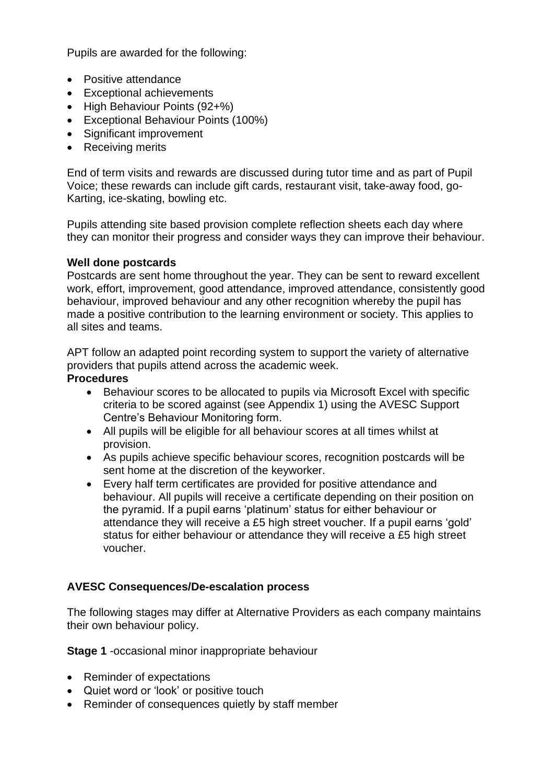Pupils are awarded for the following:

- Positive attendance
- Exceptional achievements
- High Behaviour Points (92+%)
- Exceptional Behaviour Points (100%)
- Significant improvement
- Receiving merits

End of term visits and rewards are discussed during tutor time and as part of Pupil Voice; these rewards can include gift cards, restaurant visit, take-away food, go-Karting, ice-skating, bowling etc.

Pupils attending site based provision complete reflection sheets each day where they can monitor their progress and consider ways they can improve their behaviour.

#### **Well done postcards**

Postcards are sent home throughout the year. They can be sent to reward excellent work, effort, improvement, good attendance, improved attendance, consistently good behaviour, improved behaviour and any other recognition whereby the pupil has made a positive contribution to the learning environment or society. This applies to all sites and teams.

APT follow an adapted point recording system to support the variety of alternative providers that pupils attend across the academic week.

#### **Procedures**

- Behaviour scores to be allocated to pupils via Microsoft Excel with specific criteria to be scored against (see Appendix 1) using the AVESC Support Centre's Behaviour Monitoring form.
- All pupils will be eligible for all behaviour scores at all times whilst at provision.
- As pupils achieve specific behaviour scores, recognition postcards will be sent home at the discretion of the keyworker.
- Every half term certificates are provided for positive attendance and behaviour. All pupils will receive a certificate depending on their position on the pyramid. If a pupil earns 'platinum' status for either behaviour or attendance they will receive a £5 high street voucher. If a pupil earns 'gold' status for either behaviour or attendance they will receive a £5 high street voucher.

#### **AVESC Consequences/De-escalation process**

The following stages may differ at Alternative Providers as each company maintains their own behaviour policy.

**Stage 1** -occasional minor inappropriate behaviour

- Reminder of expectations
- Quiet word or 'look' or positive touch
- Reminder of consequences quietly by staff member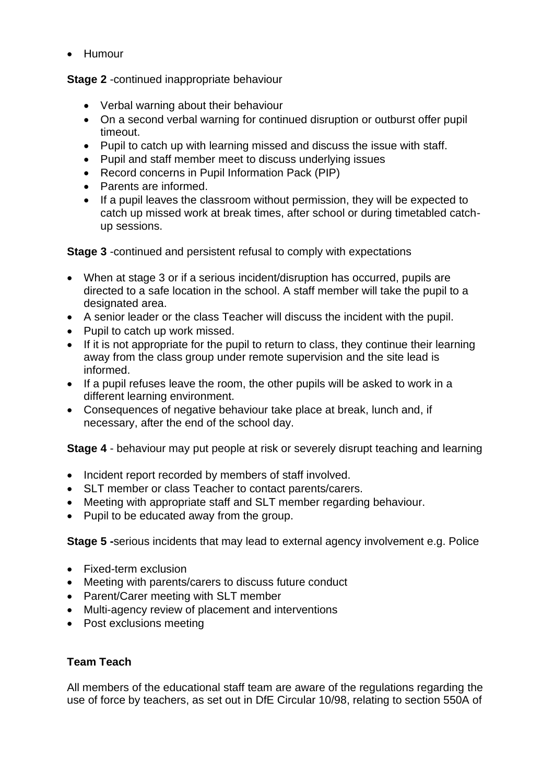• Humour

**Stage 2** -continued inappropriate behaviour

- Verbal warning about their behaviour
- On a second verbal warning for continued disruption or outburst offer pupil timeout.
- Pupil to catch up with learning missed and discuss the issue with staff.
- Pupil and staff member meet to discuss underlying issues
- Record concerns in Pupil Information Pack (PIP)
- Parents are informed.
- If a pupil leaves the classroom without permission, they will be expected to catch up missed work at break times, after school or during timetabled catchup sessions.

**Stage 3** -continued and persistent refusal to comply with expectations

- When at stage 3 or if a serious incident/disruption has occurred, pupils are directed to a safe location in the school. A staff member will take the pupil to a designated area.
- A senior leader or the class Teacher will discuss the incident with the pupil.
- Pupil to catch up work missed.
- If it is not appropriate for the pupil to return to class, they continue their learning away from the class group under remote supervision and the site lead is informed.
- If a pupil refuses leave the room, the other pupils will be asked to work in a different learning environment.
- Consequences of negative behaviour take place at break, lunch and, if necessary, after the end of the school day.

**Stage 4** - behaviour may put people at risk or severely disrupt teaching and learning

- Incident report recorded by members of staff involved.
- SLT member or class Teacher to contact parents/carers.
- Meeting with appropriate staff and SLT member regarding behaviour.
- Pupil to be educated away from the group.

**Stage 5 -**serious incidents that may lead to external agency involvement e.g. Police

- Fixed-term exclusion
- Meeting with parents/carers to discuss future conduct
- Parent/Carer meeting with SLT member
- Multi-agency review of placement and interventions
- Post exclusions meeting

## **Team Teach**

All members of the educational staff team are aware of the regulations regarding the use of force by teachers, as set out in DfE Circular 10/98, relating to section 550A of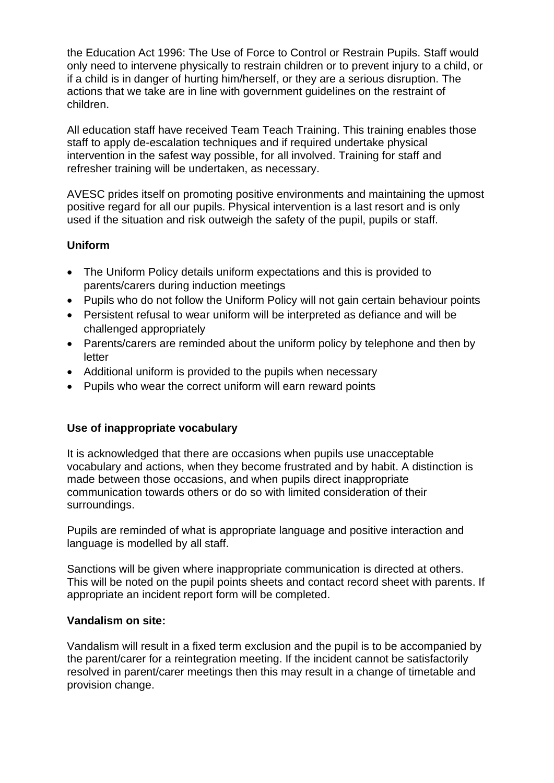the Education Act 1996: The Use of Force to Control or Restrain Pupils. Staff would only need to intervene physically to restrain children or to prevent injury to a child, or if a child is in danger of hurting him/herself, or they are a serious disruption. The actions that we take are in line with government guidelines on the restraint of children.

All education staff have received Team Teach Training. This training enables those staff to apply de-escalation techniques and if required undertake physical intervention in the safest way possible, for all involved. Training for staff and refresher training will be undertaken, as necessary.

AVESC prides itself on promoting positive environments and maintaining the upmost positive regard for all our pupils. Physical intervention is a last resort and is only used if the situation and risk outweigh the safety of the pupil, pupils or staff.

#### **Uniform**

- The Uniform Policy details uniform expectations and this is provided to parents/carers during induction meetings
- Pupils who do not follow the Uniform Policy will not gain certain behaviour points
- Persistent refusal to wear uniform will be interpreted as defiance and will be challenged appropriately
- Parents/carers are reminded about the uniform policy by telephone and then by letter
- Additional uniform is provided to the pupils when necessary
- Pupils who wear the correct uniform will earn reward points

## **Use of inappropriate vocabulary**

It is acknowledged that there are occasions when pupils use unacceptable vocabulary and actions, when they become frustrated and by habit. A distinction is made between those occasions, and when pupils direct inappropriate communication towards others or do so with limited consideration of their surroundings.

Pupils are reminded of what is appropriate language and positive interaction and language is modelled by all staff.

Sanctions will be given where inappropriate communication is directed at others. This will be noted on the pupil points sheets and contact record sheet with parents. If appropriate an incident report form will be completed.

#### **Vandalism on site:**

Vandalism will result in a fixed term exclusion and the pupil is to be accompanied by the parent/carer for a reintegration meeting. If the incident cannot be satisfactorily resolved in parent/carer meetings then this may result in a change of timetable and provision change.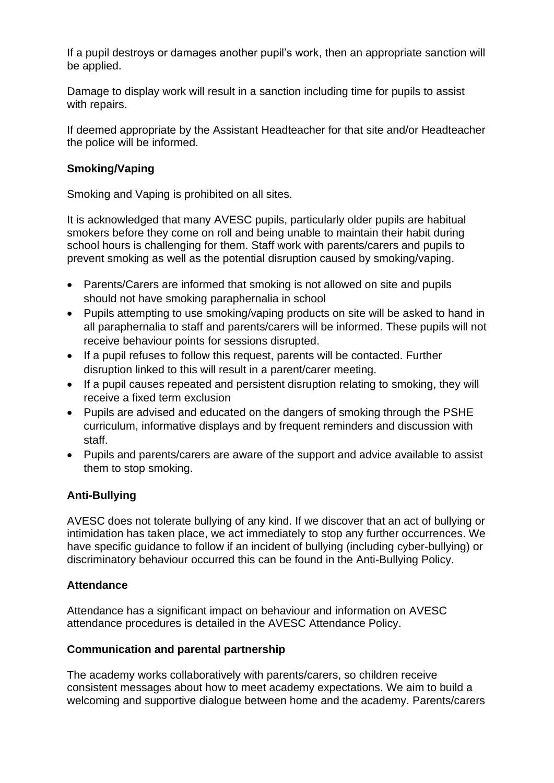If a pupil destroys or damages another pupil's work, then an appropriate sanction will be applied.

Damage to display work will result in a sanction including time for pupils to assist with repairs.

If deemed appropriate by the Assistant Headteacher for that site and/or Headteacher the police will be informed.

#### **Smoking/Vaping**

Smoking and Vaping is prohibited on all sites.

It is acknowledged that many AVESC pupils, particularly older pupils are habitual smokers before they come on roll and being unable to maintain their habit during school hours is challenging for them. Staff work with parents/carers and pupils to prevent smoking as well as the potential disruption caused by smoking/vaping.

- Parents/Carers are informed that smoking is not allowed on site and pupils should not have smoking paraphernalia in school
- Pupils attempting to use smoking/vaping products on site will be asked to hand in all paraphernalia to staff and parents/carers will be informed. These pupils will not receive behaviour points for sessions disrupted.
- If a pupil refuses to follow this request, parents will be contacted. Further disruption linked to this will result in a parent/carer meeting.
- If a pupil causes repeated and persistent disruption relating to smoking, they will receive a fixed term exclusion
- Pupils are advised and educated on the dangers of smoking through the PSHE curriculum, informative displays and by frequent reminders and discussion with staff.
- Pupils and parents/carers are aware of the support and advice available to assist them to stop smoking.

## **Anti-Bullying**

AVESC does not tolerate bullying of any kind. If we discover that an act of bullying or intimidation has taken place, we act immediately to stop any further occurrences. We have specific guidance to follow if an incident of bullying (including cyber-bullying) or discriminatory behaviour occurred this can be found in the Anti-Bullying Policy.

## **Attendance**

Attendance has a significant impact on behaviour and information on AVESC attendance procedures is detailed in the AVESC Attendance Policy.

## **Communication and parental partnership**

The academy works collaboratively with parents/carers, so children receive consistent messages about how to meet academy expectations. We aim to build a welcoming and supportive dialogue between home and the academy. Parents/carers